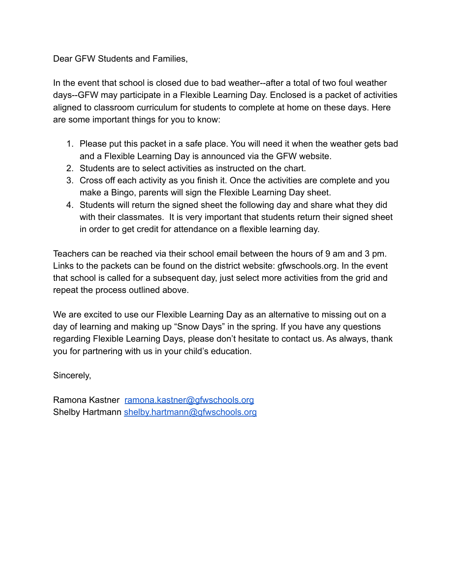Dear GFW Students and Families,

In the event that school is closed due to bad weather--after a total of two foul weather days--GFW may participate in a Flexible Learning Day. Enclosed is a packet of activities aligned to classroom curriculum for students to complete at home on these days. Here are some important things for you to know:

- 1. Please put this packet in a safe place. You will need it when the weather gets bad and a Flexible Learning Day is announced via the GFW website.
- 2. Students are to select activities as instructed on the chart.
- 3. Cross off each activity as you finish it. Once the activities are complete and you make a Bingo, parents will sign the Flexible Learning Day sheet.
- 4. Students will return the signed sheet the following day and share what they did with their classmates. It is very important that students return their signed sheet in order to get credit for attendance on a flexible learning day.

Teachers can be reached via their school email between the hours of 9 am and 3 pm. Links to the packets can be found on the district website: gfwschools.org. In the event that school is called for a subsequent day, just select more activities from the grid and repeat the process outlined above.

We are excited to use our Flexible Learning Day as an alternative to missing out on a day of learning and making up "Snow Days" in the spring. If you have any questions regarding Flexible Learning Days, please don't hesitate to contact us. As always, thank you for partnering with us in your child's education.

Sincerely,

Ramona Kastner [ramona.kastner@gfwschools.org](mailto:ramona.kastner@gfwschools.org) Shelby Hartmann [shelby.hartmann@gfwschools.org](mailto:shelby.hartmann@gfwschools.org)